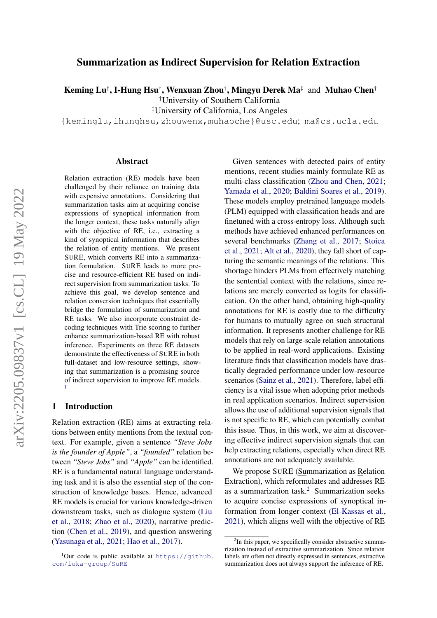# Summarization as Indirect Supervision for Relation Extraction

Keming Lu† , I-Hung Hsu† , Wenxuan Zhou† , Mingyu Derek Ma‡ and Muhao Chen†

†University of Southern California

‡University of California, Los Angeles

{keminglu,ihunghsu,zhouwenx,muhaoche}@usc.edu; ma@cs.ucla.edu

#### Abstract

Relation extraction (RE) models have been challenged by their reliance on training data with expensive annotations. Considering that summarization tasks aim at acquiring concise expressions of synoptical information from the longer context, these tasks naturally align with the objective of RE, i.e., extracting a kind of synoptical information that describes the relation of entity mentions. We present SURE, which converts RE into a summarization formulation. SURE leads to more precise and resource-efficient RE based on indirect supervision from summarization tasks. To achieve this goal, we develop sentence and relation conversion techniques that essentially bridge the formulation of summarization and RE tasks. We also incorporate constraint decoding techniques with Trie scoring to further enhance summarization-based RE with robust inference. Experiments on three RE datasets demonstrate the effectiveness of SURE in both full-dataset and low-resource settings, showing that summarization is a promising source of indirect supervision to improve RE models. [1](#page-0-0)

## 1 Introduction

Relation extraction (RE) aims at extracting relations between entity mentions from the textual context. For example, given a sentence *"Steve Jobs is the founder of Apple"*, a *"founded"* relation between *"Steve Jobs"* and *"Apple"* can be identified. RE is a fundamental natural language understanding task and it is also the essential step of the construction of knowledge bases. Hence, advanced RE models is crucial for various knowledge-driven downstream tasks, such as dialogue system [\(Liu](#page-9-0) [et al.,](#page-9-0) [2018;](#page-9-0) [Zhao et al.,](#page-11-0) [2020\)](#page-11-0), narrative prediction [\(Chen et al.,](#page-8-0) [2019\)](#page-8-0), and question answering [\(Yasunaga et al.,](#page-10-0) [2021;](#page-10-0) [Hao et al.,](#page-8-1) [2017\)](#page-8-1).

Given sentences with detected pairs of entity mentions, recent studies mainly formulate RE as multi-class classification [\(Zhou and Chen,](#page-11-1) [2021;](#page-11-1) [Yamada et al.,](#page-10-1) [2020;](#page-10-1) [Baldini Soares et al.,](#page-8-2) [2019\)](#page-8-2). These models employ pretrained language models (PLM) equipped with classification heads and are finetuned with a cross-entropy loss. Although such methods have achieved enhanced performances on several benchmarks [\(Zhang et al.,](#page-11-2) [2017;](#page-11-2) [Stoica](#page-10-2) [et al.,](#page-10-2) [2021;](#page-10-2) [Alt et al.,](#page-8-3) [2020\)](#page-8-3), they fall short of capturing the semantic meanings of the relations. This shortage hinders PLMs from effectively matching the sentential context with the relations, since relations are merely converted as logits for classification. On the other hand, obtaining high-quality annotations for RE is costly due to the difficulty for humans to mutually agree on such structural information. It represents another challenge for RE models that rely on large-scale relation annotations to be applied in real-word applications. Existing literature finds that classification models have drastically degraded performance under low-resource scenarios [\(Sainz et al.,](#page-10-3) [2021\)](#page-10-3). Therefore, label efficiency is a vital issue when adopting prior methods in real application scenarios. Indirect supervision allows the use of additional supervision signals that is not specific to RE, which can potentially combat this issue. Thus, in this work, we aim at discovering effective indirect supervision signals that can help extracting relations, especially when direct RE annotations are not adequately available.

We propose SURE (Summarization as Relation Extraction), which reformulates and addresses RE as a summarization task.<sup>[2](#page-0-1)</sup> Summarization seeks to acquire concise expressions of synoptical information from longer context [\(El-Kassas et al.,](#page-8-4) [2021\)](#page-8-4), which aligns well with the objective of RE

<span id="page-0-0"></span> $1$ Our code is public available at [https://github.](https://github.com/luka-group/SuRE) [com/luka-group/SuRE](https://github.com/luka-group/SuRE)

<span id="page-0-1"></span><sup>&</sup>lt;sup>2</sup>In this paper, we specifically consider abstractive summarization instead of extractive summarization. Since relation labels are often not directly expressed in sentences, extractive summarization does not always support the inference of RE.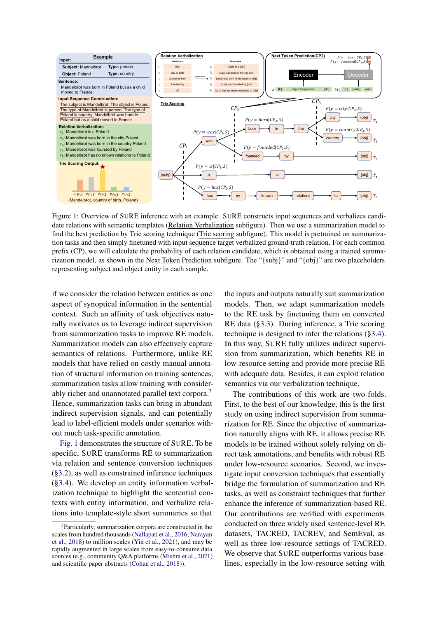<span id="page-1-1"></span>

Figure 1: Overview of SURE inference with an example. SURE constructs input sequences and verbalizes candidate relations with semantic templates (Relation Verbalization subfigure). Then we use a summarization model to find the best prediction by Trie scoring technique (Trie scoring subfigure). This model is pretrained on summarization tasks and then simply finetuned with input sequence target verbalized ground-truth relation. For each common prefix (CP), we will calculate the probability of each relation candidate, which is obtained using a trained summarization model, as shown in the Next Token Prediction subfigure. The "{subj}" and "{obj}" are two placeholders representing subject and object entity in each sample.

if we consider the relation between entities as one aspect of synoptical information in the sentential context. Such an affinity of task objectives naturally motivates us to leverage indirect supervision from summarization tasks to improve RE models. Summarization models can also effectively capture semantics of relations. Furthermore, unlike RE models that have relied on costly manual annotation of structural information on training sentences, summarization tasks allow training with consider-ably richer and unannotated parallel text corpora.<sup>[3](#page-1-0)</sup> Hence, summarization tasks can bring in abundant indirect supervision signals, and can potentially lead to label-efficient models under scenarios without much task-specific annotation.

[Fig. 1](#page-1-1) demonstrates the structure of SURE. To be specific, SURE transforms RE to summarization via relation and sentence conversion techniques ([§3.2\)](#page-3-0), as well as constrained inference techniques ([§3.4\)](#page-4-0). We develop an entity information verbalization technique to highlight the sentential contexts with entity information, and verbalize relations into template-style short summaries so that

the inputs and outputs naturally suit summarization models. Then, we adapt summarization models to the RE task by finetuning them on converted RE data ([§3.3\)](#page-4-1). During inference, a Trie scoring technique is designed to infer the relations ([§3.4\)](#page-4-0). In this way, SURE fully utilizes indirect supervision from summarization, which benefits RE in low-resource setting and provide more precise RE with adequate data. Besides, it can exploit relation semantics via our verbalization technique.

The contributions of this work are two-folds. First, to the best of our knowledge, this is the first study on using indirect supervision from summarization for RE. Since the objective of summarization naturally aligns with RE, it allows precise RE models to be trained without solely relying on direct task annotations, and benefits with robust RE under low-resource scenarios. Second, we investigate input conversion techniques that essentially bridge the formulation of summarization and RE tasks, as well as constraint techniques that further enhance the inference of summarization-based RE. Our contributions are verified with experiments conducted on three widely used sentence-level RE datasets, TACRED, TACREV, and SemEval, as well as three low-resource settings of TACRED. We observe that SURE outperforms various baselines, especially in the low-resource setting with

<span id="page-1-0"></span><sup>&</sup>lt;sup>3</sup>Particularly, summarization corpora are constructed in the scales from hundred thousands [\(Nallapati et al.,](#page-9-1) [2016;](#page-9-1) [Narayan](#page-10-4) [et al.,](#page-10-4) [2018\)](#page-10-4) to million scales [\(Yin et al.,](#page-10-5) [2021\)](#page-10-5), and may be rapidly augmented in large scales from easy-to-consume data sources (e.g., community Q&A platforms [\(Mishra et al.,](#page-9-2) [2021\)](#page-9-2) and scientific paper abstracts [\(Cohan et al.,](#page-8-5) [2018\)](#page-8-5)).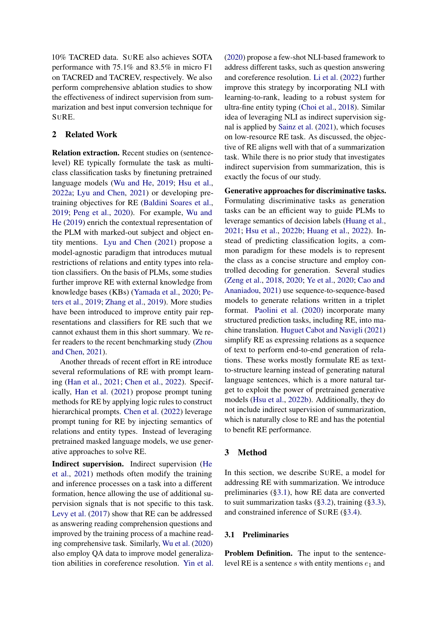10% TACRED data. SURE also achieves SOTA performance with 75.1% and 83.5% in micro F1 on TACRED and TACREV, respectively. We also perform comprehensive ablation studies to show the effectiveness of indirect supervision from summarization and best input conversion technique for SURE.

# 2 Related Work

Relation extraction. Recent studies on (sentencelevel) RE typically formulate the task as multiclass classification tasks by finetuning pretrained language models [\(Wu and He,](#page-10-6) [2019;](#page-10-6) [Hsu et al.,](#page-9-3) [2022a;](#page-9-3) [Lyu and Chen,](#page-9-4) [2021\)](#page-9-4) or developing pretraining objectives for RE [\(Baldini Soares et al.,](#page-8-2) [2019;](#page-8-2) [Peng et al.,](#page-10-7) [2020\)](#page-10-7). For example, [Wu and](#page-10-6) [He](#page-10-6) [\(2019\)](#page-10-6) enrich the contextual representation of the PLM with marked-out subject and object entity mentions. [Lyu and Chen](#page-9-4) [\(2021\)](#page-9-4) propose a model-agnostic paradigm that introduces mutual restrictions of relations and entity types into relation classifiers. On the basis of PLMs, some studies further improve RE with external knowledge from knowledge bases (KBs) [\(Yamada et al.,](#page-10-1) [2020;](#page-10-1) [Pe](#page-10-8)[ters et al.,](#page-10-8) [2019;](#page-10-8) [Zhang et al.,](#page-11-3) [2019\)](#page-11-3). More studies have been introduced to improve entity pair representations and classifiers for RE such that we cannot exhaust them in this short summary. We refer readers to the recent benchmarking study [\(Zhou](#page-11-1) [and Chen,](#page-11-1) [2021\)](#page-11-1).

Another threads of recent effort in RE introduce several reformulations of RE with prompt learning [\(Han et al.,](#page-8-6) [2021;](#page-8-6) [Chen et al.,](#page-8-7) [2022\)](#page-8-7). Specifically, [Han et al.](#page-8-6) [\(2021\)](#page-8-6) propose prompt tuning methods for RE by applying logic rules to construct hierarchical prompts. [Chen et al.](#page-8-7) [\(2022\)](#page-8-7) leverage prompt tuning for RE by injecting semantics of relations and entity types. Instead of leveraging pretrained masked language models, we use generative approaches to solve RE.

Indirect supervision. Indirect supervision [\(He](#page-9-5) [et al.,](#page-9-5) [2021\)](#page-9-5) methods often modify the training and inference processes on a task into a different formation, hence allowing the use of additional supervision signals that is not specific to this task. [Levy et al.](#page-9-6) [\(2017\)](#page-9-6) show that RE can be addressed as answering reading comprehension questions and improved by the training process of a machine reading comprehensive task. Similarly, [Wu et al.](#page-10-9) [\(2020\)](#page-10-9) also employ QA data to improve model generalization abilities in coreference resolution. [Yin et al.](#page-10-10) [\(2020\)](#page-10-10) propose a few-shot NLI-based framework to address different tasks, such as question answering and coreference resolution. [Li et al.](#page-9-7) [\(2022\)](#page-9-7) further improve this strategy by incorporating NLI with learning-to-rank, leading to a robust system for ultra-fine entity typing [\(Choi et al.,](#page-8-8) [2018\)](#page-8-8). Similar idea of leveraging NLI as indirect supervision signal is applied by [Sainz et al.](#page-10-3) [\(2021\)](#page-10-3), which focuses on low-resource RE task. As discussed, the objective of RE aligns well with that of a summarization task. While there is no prior study that investigates indirect supervision from summarization, this is exactly the focus of our study.

Generative approaches for discriminative tasks. Formulating discriminative tasks as generation tasks can be an efficient way to guide PLMs to leverage semantics of decision labels [\(Huang et al.,](#page-9-8) [2021;](#page-9-8) [Hsu et al.,](#page-9-9) [2022b;](#page-9-9) [Huang et al.,](#page-9-10) [2022\)](#page-9-10). Instead of predicting classification logits, a common paradigm for these models is to represent the class as a concise structure and employ controlled decoding for generation. Several studies [\(Zeng et al.,](#page-10-11) [2018,](#page-10-11) [2020;](#page-10-12) [Ye et al.,](#page-10-13) [2020;](#page-10-13) [Cao and](#page-8-9) [Ananiadou,](#page-8-9) [2021\)](#page-8-9) use sequence-to-sequence-based models to generate relations written in a triplet format. [Paolini et al.](#page-10-14) [\(2020\)](#page-10-14) incorporate many structured prediction tasks, including RE, into machine translation. [Huguet Cabot and Navigli](#page-9-11) [\(2021\)](#page-9-11) simplify RE as expressing relations as a sequence of text to perform end-to-end generation of relations. These works mostly formulate RE as textto-structure learning instead of generating natural language sentences, which is a more natural target to exploit the power of pretrained generative models [\(Hsu et al.,](#page-9-9) [2022b\)](#page-9-9). Additionally, they do not include indirect supervision of summarization, which is naturally close to RE and has the potential to benefit RE performance.

### 3 Method

In this section, we describe SURE, a model for addressing RE with summarization. We introduce preliminaries ([§3.1\)](#page-2-0), how RE data are converted to suit summarization tasks ([§3.2\)](#page-3-0), training ([§3.3\)](#page-4-1), and constrained inference of SURE ([§3.4\)](#page-4-0).

#### <span id="page-2-0"></span>3.1 Preliminaries

Problem Definition. The input to the sentencelevel RE is a sentence  $s$  with entity mentions  $e_1$  and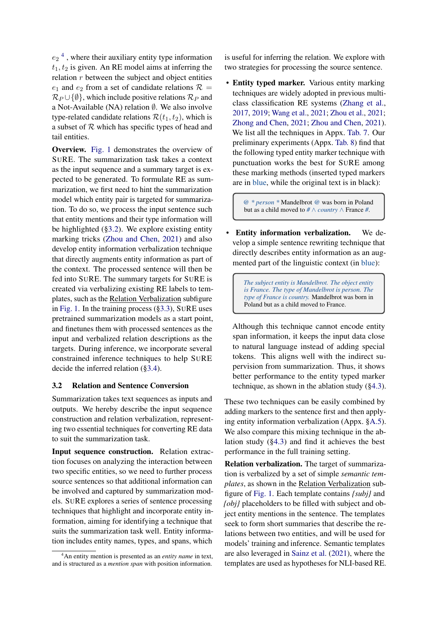$e_2$ <sup>[4](#page-3-1)</sup>, where their auxiliary entity type information  $t_1, t_2$  is given. An RE model aims at inferring the relation  $r$  between the subject and object entities  $e_1$  and  $e_2$  from a set of candidate relations  $\mathcal{R} =$  $\mathcal{R}_P \cup \{\emptyset\}$ , which include positive relations  $\mathcal{R}_P$  and a Not-Available (NA) relation  $\emptyset$ . We also involve type-related candidate relations  $\mathcal{R}(t_1, t_2)$ , which is a subset of  $R$  which has specific types of head and tail entities.

Overview. [Fig. 1](#page-1-1) demonstrates the overview of SURE. The summarization task takes a context as the input sequence and a summary target is expected to be generated. To formulate RE as summarization, we first need to hint the summarization model which entity pair is targeted for summarization. To do so, we process the input sentence such that entity mentions and their type information will be highlighted ([§3.2\)](#page-3-0). We explore existing entity marking tricks [\(Zhou and Chen,](#page-11-1) [2021\)](#page-11-1) and also develop entity information verbalization technique that directly augments entity information as part of the context. The processed sentence will then be fed into SURE. The summary targets for SURE is created via verbalizing existing RE labels to templates, such as the Relation Verbalization subfigure in [Fig. 1.](#page-1-1) In the training process ([§3.3\)](#page-4-1), SURE uses pretrained summarization models as a start point, and finetunes them with processed sentences as the input and verbalized relation descriptions as the targets. During inference, we incorporate several constrained inference techniques to help SURE decide the inferred relation ([§3.4\)](#page-4-0).

### <span id="page-3-0"></span>3.2 Relation and Sentence Conversion

Summarization takes text sequences as inputs and outputs. We hereby describe the input sequence construction and relation verbalization, representing two essential techniques for converting RE data to suit the summarization task.

Input sequence construction. Relation extraction focuses on analyzing the interaction between two specific entities, so we need to further process source sentences so that additional information can be involved and captured by summarization models. SURE explores a series of sentence processing techniques that highlight and incorporate entity information, aiming for identifying a technique that suits the summarization task well. Entity information includes entity names, types, and spans, which

is useful for inferring the relation. We explore with two strategies for processing the source sentence.

• Entity typed marker. Various entity marking techniques are widely adopted in previous multiclass classification RE systems [\(Zhang et al.,](#page-11-2) [2017,](#page-11-2) [2019;](#page-11-3) [Wang et al.,](#page-10-15) [2021;](#page-10-15) [Zhou et al.,](#page-11-4) [2021;](#page-11-4) [Zhong and Chen,](#page-11-5) [2021;](#page-11-5) [Zhou and Chen,](#page-11-1) [2021\)](#page-11-1). We list all the techniques in Appx. [Tab. 7.](#page-14-0) Our preliminary experiments (Appx. [Tab. 8\)](#page-14-1) find that the following typed entity marker technique with punctuation works the best for SURE among these marking methods (inserted typed markers are in blue, while the original text is in black):

*@ \* person \** Mandelbrot *@* was born in Poland but as a child moved to *#* ∧ *country* ∧ France *#*.

• Entity information verbalization. We develop a simple sentence rewriting technique that directly describes entity information as an augmented part of the linguistic context (in blue):

> *The subject entity is Mandelbrot. The object entity is France. The type of Mandelbrot is person. The type of France is country.* Mandelbrot was born in Poland but as a child moved to France.

Although this technique cannot encode entity span information, it keeps the input data close to natural language instead of adding special tokens. This aligns well with the indirect supervision from summarization. Thus, it shows better performance to the entity typed marker technique, as shown in the ablation study ([§4.3\)](#page-7-0).

These two techniques can be easily combined by adding markers to the sentence first and then applying entity information verbalization (Appx. [§A.5\)](#page-13-0). We also compare this mixing technique in the ablation study ([§4.3\)](#page-7-0) and find it achieves the best performance in the full training setting.

Relation verbalization. The target of summarization is verbalized by a set of simple *semantic templates*, as shown in the Relation Verbalization subfigure of [Fig. 1.](#page-1-1) Each template contains *{subj}* and *{obj}* placeholders to be filled with subject and object entity mentions in the sentence. The templates seek to form short summaries that describe the relations between two entities, and will be used for models' training and inference. Semantic templates are also leveraged in [Sainz et al.](#page-10-3) [\(2021\)](#page-10-3), where the templates are used as hypotheses for NLI-based RE.

<span id="page-3-1"></span><sup>4</sup>An entity mention is presented as an *entity name* in text, and is structured as a *mention span* with position information.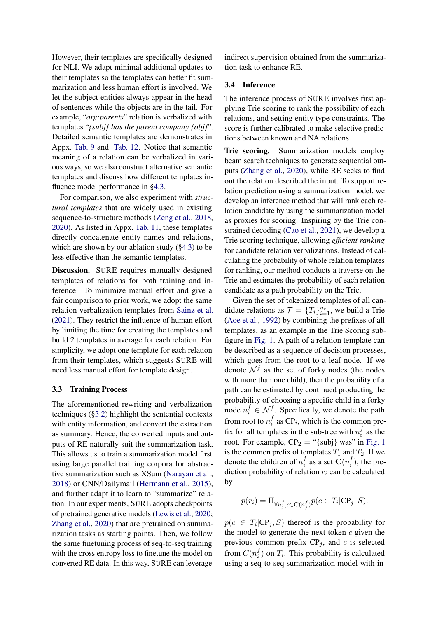However, their templates are specifically designed for NLI. We adapt minimal additional updates to their templates so the templates can better fit summarization and less human effort is involved. We let the subject entities always appear in the head of sentences while the objects are in the tail. For example, "*org:parents*" relation is verbalized with templates "*{subj} has the parent company {obj}*". Detailed semantic templates are demonstrates in Appx. [Tab. 9](#page-15-0) and [Tab. 12.](#page-18-0) Notice that semantic meaning of a relation can be verbalized in various ways, so we also construct alternative semantic templates and discuss how different templates influence model performance in [§4.3.](#page-7-0)

For comparison, we also experiment with *structural templates* that are widely used in existing sequence-to-structure methods [\(Zeng et al.,](#page-10-11) [2018,](#page-10-11) [2020\)](#page-10-12). As listed in Appx. [Tab. 11,](#page-17-0) these templates directly concatenate entity names and relations, which are shown by our ablation study ([§4.3\)](#page-7-0) to be less effective than the semantic templates.

Discussion. SURE requires manually designed templates of relations for both training and inference. To minimize manual effort and give a fair comparison to prior work, we adopt the same relation verbalization templates from [Sainz et al.](#page-10-3) [\(2021\)](#page-10-3). They restrict the influence of human effort by limiting the time for creating the templates and build 2 templates in average for each relation. For simplicity, we adopt one template for each relation from their templates, which suggests SURE will need less manual effort for template design.

### <span id="page-4-1"></span>3.3 Training Process

The aforementioned rewriting and verbalization techniques ([§3.2\)](#page-3-0) highlight the sentential contexts with entity information, and convert the extraction as summary. Hence, the converted inputs and outputs of RE naturally suit the summarization task. This allows us to train a summarization model first using large parallel training corpora for abstractive summarization such as XSum [\(Narayan et al.,](#page-10-4) [2018\)](#page-10-4) or CNN/Dailymail [\(Hermann et al.,](#page-9-12) [2015\)](#page-9-12), and further adapt it to learn to "summarize" relation. In our experiments, SURE adopts checkpoints of pretrained generative models [\(Lewis et al.,](#page-9-13) [2020;](#page-9-13) [Zhang et al.,](#page-10-16) [2020\)](#page-10-16) that are pretrained on summarization tasks as starting points. Then, we follow the same finetuning process of seq-to-seq training with the cross entropy loss to finetune the model on converted RE data. In this way, SURE can leverage

indirect supervision obtained from the summarization task to enhance RE.

#### <span id="page-4-0"></span>3.4 Inference

The inference process of SURE involves first applying Trie scoring to rank the possibility of each relations, and setting entity type constraints. The score is further calibrated to make selective predictions between known and NA relations.

Trie scoring. Summarization models employ beam search techniques to generate sequential outputs [\(Zhang et al.,](#page-10-16) [2020\)](#page-10-16), while RE seeks to find out the relation described the input. To support relation prediction using a summarization model, we develop an inference method that will rank each relation candidate by using the summarization model as proxies for scoring. Inspiring by the Trie constrained decoding [\(Cao et al.,](#page-8-10) [2021\)](#page-8-10), we develop a Trie scoring technique, allowing *efficient ranking* for candidate relation verbalizations. Instead of calculating the probability of whole relation templates for ranking, our method conducts a traverse on the Trie and estimates the probability of each relation candidate as a path probability on the Trie.

Given the set of tokenized templates of all candidate relations as  $\mathcal{T} = \{T_i\}_{i=1}^{n_r}$ , we build a Trie [\(Aoe et al.,](#page-8-11) [1992\)](#page-8-11) by combining the prefixes of all templates, as an example in the Trie Scoring subfigure in [Fig. 1.](#page-1-1) A path of a relation template can be described as a sequence of decision processes, which goes from the root to a leaf node. If we denote  $\mathcal{N}^f$  as the set of forky nodes (the nodes with more than one child), then the probability of a path can be estimated by continued producting the probability of choosing a specific child in a forky node  $n_i^f \in \mathcal{N}^f$ . Specifically, we denote the path from root to  $n_i^f$  $i_i$  as CP<sub>i</sub>, which is the common prefix for all templates in the sub-tree with  $n_i^f$  $\frac{J}{i}$  as the root. For example,  $CP_2$  = "{subj} was" in [Fig. 1](#page-1-1) is the common prefix of templates  $T_1$  and  $T_2$ . If we denote the children of  $n_i^f$  $\int_i^f$  as a set  $\mathbf{C}(n_i^f)$  $\binom{J}{i}$ , the prediction probability of relation  $r_i$  can be calculated by

$$
p(r_i) = \Pi_{\forall n^f_j, c \in \mathbf{C}(n^f_j)} p(c \in T_i | \mathbf{CP}_j, S).
$$

 $p(c \in T_i | \mathbb{CP}_j, S)$  thereof is the probability for the model to generate the next token  $c$  given the previous common prefix  $CP<sub>j</sub>$ , and c is selected from  $C(n_i^f)$  $i_j$ ) on  $T_i$ . This probability is calculated using a seq-to-seq summarization model with in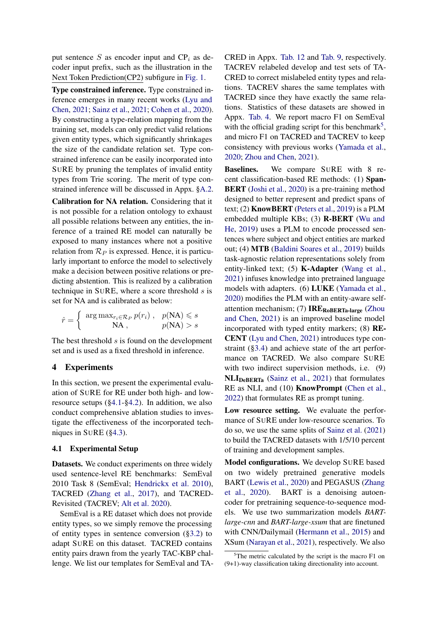put sentence S as encoder input and  $\text{CP}_i$  as decoder input prefix, such as the illustration in the Next Token Prediction(CP2) subfigure in [Fig. 1.](#page-1-1)

Type constrained inference. Type constrained inference emerges in many recent works [\(Lyu and](#page-9-4) [Chen,](#page-9-4) [2021;](#page-9-4) [Sainz et al.,](#page-10-3) [2021;](#page-10-3) [Cohen et al.,](#page-8-12) [2020\)](#page-8-12). By constructing a type-relation mapping from the training set, models can only predict valid relations given entity types, which significantly shrinkages the size of the candidate relation set. Type constrained inference can be easily incorporated into SURE by pruning the templates of invalid entity types from Trie scoring. The merit of type constrained inference will be discussed in Appx. [§A.2.](#page-12-0)

Calibration for NA relation. Considering that it is not possible for a relation ontology to exhaust all possible relations between any entities, the inference of a trained RE model can naturally be exposed to many instances where not a positive relation from  $\mathcal{R}_P$  is expressed. Hence, it is particularly important to enforce the model to selectively make a decision between positive relations or predicting abstention. This is realized by a calibration technique in SURE, where a score threshold  $s$  is set for NA and is calibrated as below:

$$
\hat{r} = \begin{cases} \arg \max_{r_i \in \mathcal{R}_P} p(r_i), & p(\text{NA}) \leq s \\ \text{NA}, & p(\text{NA}) > s \end{cases}
$$

The best threshold s is found on the development set and is used as a fixed threshold in inference.

### 4 Experiments

In this section, we present the experimental evaluation of SURE for RE under both high- and lowresource setups ([§4.1-](#page-5-0)[§4.2\)](#page-6-0). In addition, we also conduct comprehensive ablation studies to investigate the effectiveness of the incorporated techniques in SURE ([§4.3\)](#page-7-0).

#### <span id="page-5-0"></span>4.1 Experimental Setup

Datasets. We conduct experiments on three widely used sentence-level RE benchmarks: SemEval 2010 Task 8 (SemEval; [Hendrickx et al.](#page-9-14) [2010\)](#page-9-14), TACRED [\(Zhang et al.,](#page-11-2) [2017\)](#page-11-2), and TACRED-Revisited (TACREV; [Alt et al.](#page-8-3) [2020\)](#page-8-3).

SemEval is a RE dataset which does not provide entity types, so we simply remove the processing of entity types in sentence conversion ([§3.2\)](#page-3-0) to adapt SURE on this dataset. TACRED contains entity pairs drawn from the yearly TAC-KBP challenge. We list our templates for SemEval and TA- CRED in Appx. [Tab. 12](#page-18-0) and [Tab. 9,](#page-15-0) respectively. TACREV relabeled develop and test sets of TA-CRED to correct mislabeled entity types and relations. TACREV shares the same templates with TACRED since they have exactly the same relations. Statistics of these datasets are showed in Appx. [Tab. 4.](#page-12-1) We report macro F1 on SemEval with the official grading script for this benchmark<sup>[5](#page-5-1)</sup>, and micro F1 on TACRED and TACREV to keep consistency with previous works [\(Yamada et al.,](#page-10-1) [2020;](#page-10-1) [Zhou and Chen,](#page-11-1) [2021\)](#page-11-1).

Baselines. We compare SURE with 8 recent classification-based RE methods: (1) Span-BERT [\(Joshi et al.,](#page-9-15) [2020\)](#page-9-15) is a pre-training method designed to better represent and predict spans of text; (2) KnowBERT [\(Peters et al.,](#page-10-8) [2019\)](#page-10-8) is a PLM embedded multiple KBs; (3) R-BERT [\(Wu and](#page-10-6) [He,](#page-10-6) [2019\)](#page-10-6) uses a PLM to encode processed sentences where subject and object entities are marked out; (4) MTB [\(Baldini Soares et al.,](#page-8-2) [2019\)](#page-8-2) builds task-agnostic relation representations solely from entity-linked text; (5) K-Adapter [\(Wang et al.,](#page-10-15) [2021\)](#page-10-15) infuses knowledge into pretrained language models with adapters. (6) LUKE [\(Yamada et al.,](#page-10-1) [2020\)](#page-10-1) modifies the PLM with an entity-aware selfattention mechanism;  $(7)$  IRE<sub>RoBERTa-large</sub> [\(Zhou](#page-11-1) [and Chen,](#page-11-1) [2021\)](#page-11-1) is an improved baseline model incorporated with typed entity markers; (8) RE-CENT [\(Lyu and Chen,](#page-9-4) [2021\)](#page-9-4) introduces type constraint ([§3.4\)](#page-4-0) and achieve state of the art performance on TACRED. We also compare SURE with two indirect supervision methods, i.e.  $(9)$ NLIDeBERTa [\(Sainz et al.,](#page-10-3) [2021\)](#page-10-3) that formulates RE as NLI, and (10) **KnowPrompt** [\(Chen et al.,](#page-8-7) [2022\)](#page-8-7) that formulates RE as prompt tuning.

Low resource setting. We evaluate the performance of SURE under low-resource scenarios. To do so, we use the same splits of [Sainz et al.](#page-10-3) [\(2021\)](#page-10-3) to build the TACRED datasets with 1/5/10 percent of training and development samples.

Model configurations. We develop SURE based on two widely pretrained generative models BART [\(Lewis et al.,](#page-9-13) [2020\)](#page-9-13) and PEGASUS [\(Zhang](#page-10-16) [et al.,](#page-10-16) [2020\)](#page-10-16). BART is a denoising autoencoder for pretraining sequence-to-sequence models. We use two summarization models *BARTlarge-cnn* and *BART-large-xsum* that are finetuned with CNN/Dailymail [\(Hermann et al.,](#page-9-12) [2015\)](#page-9-12) and XSum [\(Narayan et al.,](#page-10-17) [2021\)](#page-10-17), respectively. We also

<span id="page-5-1"></span> $5$ The metric calculated by the script is the macro F1 on (9+1)-way classification taking directionality into account.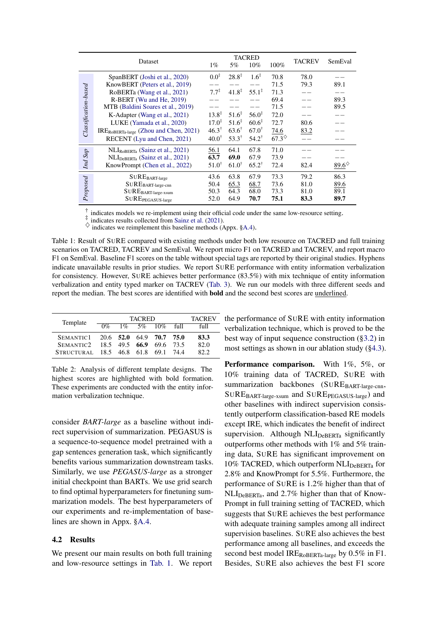<span id="page-6-1"></span>

|                               | Dataset                                                                                                                                                                                                                                                                                                             | $1\%$                                                                                                                  | 5%                                                                                                                     | <b>TACRED</b><br>$10\%$                                                                                        | 100%                                                                            | <b>TACREV</b>                | SemEval                      |
|-------------------------------|---------------------------------------------------------------------------------------------------------------------------------------------------------------------------------------------------------------------------------------------------------------------------------------------------------------------|------------------------------------------------------------------------------------------------------------------------|------------------------------------------------------------------------------------------------------------------------|----------------------------------------------------------------------------------------------------------------|---------------------------------------------------------------------------------|------------------------------|------------------------------|
| $\emph{Classification-based}$ | SpanBERT (Joshi et al., 2020)<br>KnowBERT (Peters et al., 2019)<br>RoBERTa (Wang et al., 2021)<br>R-BERT (Wu and He, 2019)<br>MTB (Baldini Soares et al., 2019)<br>K-Adapter (Wang et al., 2021)<br>LUKE (Yamada et al., 2020)<br>IRE <sub>ROBERTa-large</sub> (Zhou and Chen, 2021)<br>RECENT (Lyu and Chen, 2021) | $0.0^{\ddagger}$<br>$7.7^{\ddagger}$<br>$13.8^{\ddagger}$<br>$17.0^{\ddagger}$<br>$46.3^{\dagger}$<br>$40.0^{\dagger}$ | $28.8^{\ddagger}$<br>$41.8^{\ddagger}$<br>$51.6^{\ddagger}$<br>$51.6^{\ddagger}$<br>$63.6^\dagger$<br>$53.3^{\dagger}$ | $1.6^{\ddagger}$<br>$55.1^*$<br>$56.0^{\ddagger}$<br>$60.6^{\ddagger}$<br>$67.0^{\dagger}$<br>$54.2^{\dagger}$ | 70.8<br>71.5<br>71.3<br>69.4<br>71.5<br>72.0<br>72.7<br>74.6<br>$67.3^\diamond$ | 78.0<br>79.3<br>80.6<br>83.2 | 89.1<br>89.3<br>89.5         |
| Ind Sup                       | $\text{NLI}_{\text{RoBERTa}}$ (Sainz et al., 2021)<br>$\text{NLI}_{\text{DeBERTa}}$ (Sainz et al., 2021)<br>KnowPrompt (Chen et al., 2022)                                                                                                                                                                          | 56.1<br>63.7<br>$51.0^{\dagger}$                                                                                       | 64.1<br>69.0<br>$61.0^{\dagger}$                                                                                       | 67.8<br>67.9<br>$65.2^{\dagger}$                                                                               | 71.0<br>73.9<br>72.4                                                            | 82.4                         | 89.6 $\diamond$              |
| Proposed                      | $\mathbf{SUBE}_{\text{BART-large}}$<br>$\mathbf{SUBE}_{\text{BART-large-cnn}}$<br>$\mathbf{SUB} \mathbf{EBART}\text{-}large\text{-}xsum$<br>$\mathbf{SUBE_{PEGASUS\text{-}large}}$                                                                                                                                  | 43.6<br>50.4<br>50.3<br>52.0                                                                                           | 63.8<br>65.3<br>64.3<br>64.9                                                                                           | 67.9<br>68.7<br>68.0<br>70.7                                                                                   | 73.3<br>73.6<br>73.3<br>75.1                                                    | 79.2<br>81.0<br>81.0<br>83.3 | 86.3<br>89.6<br>89.1<br>89.7 |

† indicates models we re-implement using their official code under the same low-resource setting.

‡ indicates results collected from [Sainz et al.](#page-10-3) [\(2021\)](#page-10-3).

indicates we reimplement this baseline methods (Appx. [§A.4\)](#page-12-2).

Table 1: Result of SURE compared with existing methods under both low resource on TACRED and full training scenarios on TACRED, TACREV and SemEval. We report micro F1 on TACRED and TACREV, and report macro F1 on SemEval. Baseline F1 scores on the table without special tags are reported by their original studies. Hyphens indicate unavailable results in prior studies. We report SURE performance with entity information verbalization for consistency. However, SURE achieves better performance (83.5%) with mix technique of entity information verbalization and entity typed marker on TACREV [\(Tab. 3\)](#page-7-1). We run our models with three different seeds and report the median. The best scores are identified with bold and the second best scores are underlined.

<span id="page-6-2"></span>

| Template                            |       | <b>TACREV</b> |                |             |      |
|-------------------------------------|-------|---------------|----------------|-------------|------|
|                                     | $0\%$ |               | $1\%$ 5\% 10\% | $f_{\rm H}$ | full |
| SEMANTIC1 20.6 52.0 64.9 70.7 75.0  |       |               |                |             | 83.3 |
| SEMANTIC2 18.5 49.5 66.9            |       |               | 69.6 73.5      |             | 82.0 |
| STRUCTURAL 18.5 46.8 61.8 69.1 74.4 |       |               |                |             | 822  |

Table 2: Analysis of different template designs. The highest scores are highlighted with bold formation. These experiments are conducted with the entity information verbalization technique.

consider *BART-large* as a baseline without indirect supervision of summarization. PEGASUS is a sequence-to-sequence model pretrained with a gap sentences generation task, which significantly benefits various summarization downstream tasks. Similarly, we use *PEGASUS-large* as a stronger initial checkpoint than BARTs. We use grid search to find optimal hyperparameters for finetuning summarization models. The best hyperparameters of our experiments and re-implementation of baselines are shown in Appx. [§A.4.](#page-12-2)

### <span id="page-6-0"></span>4.2 Results

We present our main results on both full training and low-resource settings in [Tab. 1.](#page-6-1) We report the performance of SURE with entity information verbalization technique, which is proved to be the best way of input sequence construction ([§3.2\)](#page-3-0) in most settings as shown in our ablation study ([§4.3\)](#page-7-0).

Performance comparison. With 1%, 5%, or 10% training data of TACRED, SURE with summarization backbones (SUREBART-large-cnn, SURE<sub>BART-large-xsum</sub> and SURE<sub>PEGASUS-large</sub>) and other baselines with indirect supervision consistently outperform classification-based RE models except IRE, which indicates the benefit of indirect supervision. Although  $NLI_{DeBERTa}$  significantly outperforms other methods with 1% and 5% training data, SURE has significant improvement on 10% TACRED, which outperform  $\text{NLI}_{\text{DeBERTa}}$  for 2.8% and KnowPrompt for 5.5%. Furthermore, the performance of SURE is 1.2% higher than that of  $\text{NLI}_{\text{DeBERTa}}$ , and 2.7% higher than that of Know-Prompt in full training setting of TACRED, which suggests that SURE achieves the best performance with adequate training samples among all indirect supervision baselines. SURE also achieves the best performance among all baselines, and exceeds the second best model IREROBERTa-large by 0.5% in F1. Besides, SURE also achieves the best F1 score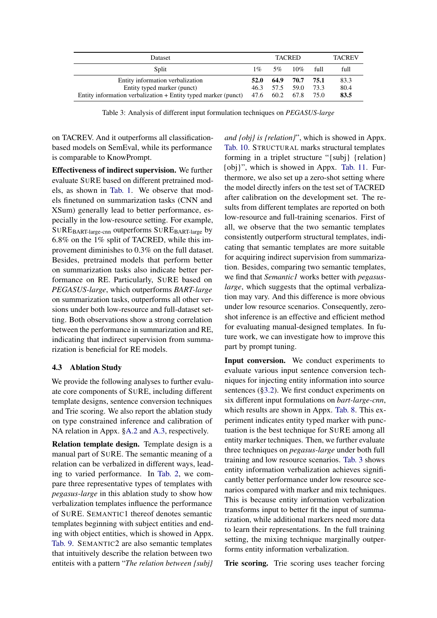<span id="page-7-1"></span>

| Dataset                                                                                                                                       |              |               | <b>TACRED</b>             |              | <b>TACREV</b>        |
|-----------------------------------------------------------------------------------------------------------------------------------------------|--------------|---------------|---------------------------|--------------|----------------------|
| Split                                                                                                                                         | $1\%$        | $5\%$         | $10\%$                    | full         | full                 |
| Entity information verbalization<br>Entity typed marker (punct)<br>Entity information verbalization + Entity typed marker (punct) $47.6$ 60.2 | 52.0<br>46.3 | -64.9<br>57.5 | 70.7<br>59.0<br>67.8 75.0 | 75.1<br>73.3 | 83.3<br>80.4<br>83.5 |

Table 3: Analysis of different input formulation techniques on *PEGASUS-large*

on TACREV. And it outperforms all classificationbased models on SemEval, while its performance is comparable to KnowPrompt.

Effectiveness of indirect supervision. We further evaluate SURE based on different pretrained models, as shown in [Tab. 1.](#page-6-1) We observe that models finetuned on summarization tasks (CNN and XSum) generally lead to better performance, especially in the low-resource setting. For example, SUREBART-large-cnn outperforms SUREBART-large by 6.8% on the 1% split of TACRED, while this improvement diminishes to 0.3% on the full dataset. Besides, pretrained models that perform better on summarization tasks also indicate better performance on RE. Particularly, SURE based on *PEGASUS-large*, which outperforms *BART-large* on summarization tasks, outperforms all other versions under both low-resource and full-dataset setting. Both observations show a strong correlation between the performance in summarization and RE, indicating that indirect supervision from summarization is beneficial for RE models.

### <span id="page-7-0"></span>4.3 Ablation Study

We provide the following analyses to further evaluate core components of SURE, including different template designs, sentence conversion techniques and Trie scoring. We also report the ablation study on type constrained inference and calibration of NA relation in Appx. [§A.2](#page-12-0) and [A.3,](#page-12-3) respectively.

Relation template design. Template design is a manual part of SURE. The semantic meaning of a relation can be verbalized in different ways, leading to varied performance. In [Tab. 2,](#page-6-2) we compare three representative types of templates with *pegasus-large* in this ablation study to show how verbalization templates influence the performance of SURE. SEMANTIC1 thereof denotes semantic templates beginning with subject entities and ending with object entities, which is showed in Appx. [Tab. 9.](#page-15-0) SEMANTIC2 are also semantic templates that intuitively describe the relation between two entiteis with a pattern "*The relation between {subj}*

*and {obj} is {relation}*", which is showed in Appx. [Tab. 10.](#page-16-0) STRUCTURAL marks structural templates forming in a triplet structure "{subj} {relation} {obj}", which is showed in Appx. [Tab. 11.](#page-17-0) Furthermore, we also set up a zero-shot setting where the model directly infers on the test set of TACRED after calibration on the development set. The results from different templates are reported on both low-resource and full-training scenarios. First of all, we observe that the two semantic templates consistently outperform structural templates, indicating that semantic templates are more suitable for acquiring indirect supervision from summarization. Besides, comparing two semantic templates, we find that *Semantic1* works better with *pegasuslarge*, which suggests that the optimal verbalization may vary. And this difference is more obvious under low resource scenarios. Consequently, zeroshot inference is an effective and efficient method for evaluating manual-designed templates. In future work, we can investigate how to improve this part by prompt tuning.

Input conversion. We conduct experiments to evaluate various input sentence conversion techniques for injecting entity information into source sentences ([§3.2\)](#page-3-0). We first conduct experiments on six different input formulations on *bart-large-cnn*, which results are shown in Appx. [Tab. 8.](#page-14-1) This experiment indicates entity typed marker with punctuation is the best technique for SURE among all entity marker techniques. Then, we further evaluate three techniques on *pegasus-large* under both full training and low resource scenarios. [Tab. 3](#page-7-1) shows entity information verbalization achieves significantly better performance under low resource scenarios compared with marker and mix techniques. This is because entity information verbalization transforms input to better fit the input of summarization, while additional markers need more data to learn their representations. In the full training setting, the mixing technique marginally outperforms entity information verbalization.

Trie scoring. Trie scoring uses teacher forcing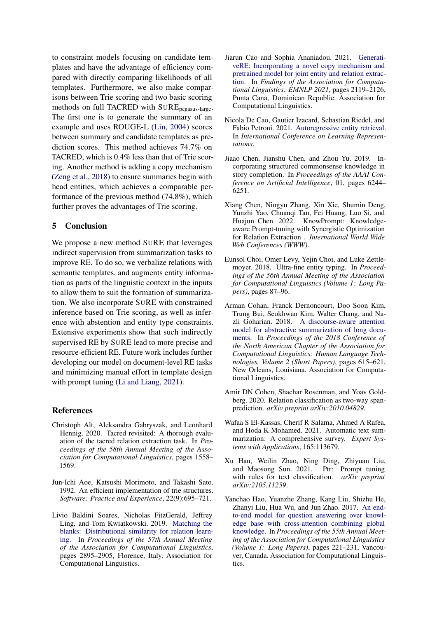to constraint models focusing on candidate templates and have the advantage of efficiency compared with directly comparing likelihoods of all templates. Furthermore, we also make comparisons between Trie scoring and two basic scoring methods on full TACRED with SUREpegasus-large. The first one is to generate the summary of an example and uses ROUGE-L [\(Lin,](#page-9-16) [2004\)](#page-9-16) scores between summary and candidate templates as prediction scores. This method achieves 74.7% on TACRED, which is 0.4% less than that of Trie scoring. Another method is adding a copy mechanism [\(Zeng et al.,](#page-10-11) [2018\)](#page-10-11) to ensure summaries begin with head entities, which achieves a comparable performance of the previous method (74.8%), which further proves the advantages of Trie scoring.

## 5 Conclusion

We propose a new method SURE that leverages indirect supervision from summarization tasks to improve RE. To do so, we verbalize relations with semantic templates, and augments entity information as parts of the linguistic context in the inputs to allow them to suit the formation of summarization. We also incorporate SURE with constrained inference based on Trie scoring, as well as inference with abstention and entity type constraints. Extensive experiments show that such indirectly supervised RE by SURE lead to more precise and resource-efficient RE. Future work includes further developing our model on document-level RE tasks and minimizing manual effort in template design with prompt tuning [\(Li and Liang,](#page-9-17) [2021\)](#page-9-17).

### References

- <span id="page-8-3"></span>Christoph Alt, Aleksandra Gabryszak, and Leonhard Hennig. 2020. Tacred revisited: A thorough evaluation of the tacred relation extraction task. In *Proceedings of the 58th Annual Meeting of the Association for Computational Linguistics*, pages 1558– 1569.
- <span id="page-8-11"></span>Jun-Ichi Aoe, Katsushi Morimoto, and Takashi Sato. 1992. An efficient implementation of trie structures. *Software: Practice and Experience*, 22(9):695–721.
- <span id="page-8-2"></span>Livio Baldini Soares, Nicholas FitzGerald, Jeffrey Ling, and Tom Kwiatkowski. 2019. [Matching the](https://doi.org/10.18653/v1/P19-1279) [blanks: Distributional similarity for relation learn](https://doi.org/10.18653/v1/P19-1279)[ing.](https://doi.org/10.18653/v1/P19-1279) In *Proceedings of the 57th Annual Meeting of the Association for Computational Linguistics*, pages 2895–2905, Florence, Italy. Association for Computational Linguistics.
- <span id="page-8-9"></span>Jiarun Cao and Sophia Ananiadou. 2021. [Generati](https://doi.org/10.18653/v1/2021.findings-emnlp.182)[veRE: Incorporating a novel copy mechanism and](https://doi.org/10.18653/v1/2021.findings-emnlp.182) [pretrained model for joint entity and relation extrac](https://doi.org/10.18653/v1/2021.findings-emnlp.182)[tion.](https://doi.org/10.18653/v1/2021.findings-emnlp.182) In *Findings of the Association for Computational Linguistics: EMNLP 2021*, pages 2119–2126, Punta Cana, Dominican Republic. Association for Computational Linguistics.
- <span id="page-8-10"></span>Nicola De Cao, Gautier Izacard, Sebastian Riedel, and Fabio Petroni. 2021. [Autoregressive entity retrieval.](https://openreview.net/forum?id=5k8F6UU39V) In *International Conference on Learning Representations*.
- <span id="page-8-0"></span>Jiaao Chen, Jianshu Chen, and Zhou Yu. 2019. Incorporating structured commonsense knowledge in story completion. In *Proceedings of the AAAI Conference on Artificial Intelligence*, 01, pages 6244– 6251.
- <span id="page-8-7"></span>Xiang Chen, Ningyu Zhang, Xin Xie, Shumin Deng, Yunzhi Yao, Chuanqi Tan, Fei Huang, Luo Si, and Huajun Chen. 2022. KnowPrompt: Knowledgeaware Prompt-tuning with Synergistic Optimization for Relation Extraction . *International World Wide Web Conferences (WWW)*.
- <span id="page-8-8"></span>Eunsol Choi, Omer Levy, Yejin Choi, and Luke Zettlemoyer. 2018. Ultra-fine entity typing. In *Proceedings of the 56th Annual Meeting of the Association for Computational Linguistics (Volume 1: Long Papers)*, pages 87–96.
- <span id="page-8-5"></span>Arman Cohan, Franck Dernoncourt, Doo Soon Kim, Trung Bui, Seokhwan Kim, Walter Chang, and Nazli Goharian. 2018. [A discourse-aware attention](https://doi.org/10.18653/v1/N18-2097) [model for abstractive summarization of long docu](https://doi.org/10.18653/v1/N18-2097)[ments.](https://doi.org/10.18653/v1/N18-2097) In *Proceedings of the 2018 Conference of the North American Chapter of the Association for Computational Linguistics: Human Language Technologies, Volume 2 (Short Papers)*, pages 615–621, New Orleans, Louisiana. Association for Computational Linguistics.
- <span id="page-8-12"></span>Amir DN Cohen, Shachar Rosenman, and Yoav Goldberg. 2020. Relation classification as two-way spanprediction. *arXiv preprint arXiv:2010.04829*.
- <span id="page-8-4"></span>Wafaa S El-Kassas, Cherif R Salama, Ahmed A Rafea, and Hoda K Mohamed. 2021. Automatic text summarization: A comprehensive survey. *Expert Systems with Applications*, 165:113679.
- <span id="page-8-6"></span>Xu Han, Weilin Zhao, Ning Ding, Zhiyuan Liu, and Maosong Sun. 2021. Ptr: Prompt tuning with rules for text classification. *arXiv preprint arXiv:2105.11259*.
- <span id="page-8-1"></span>Yanchao Hao, Yuanzhe Zhang, Kang Liu, Shizhu He, Zhanyi Liu, Hua Wu, and Jun Zhao. 2017. [An end](https://doi.org/10.18653/v1/P17-1021)[to-end model for question answering over knowl](https://doi.org/10.18653/v1/P17-1021)[edge base with cross-attention combining global](https://doi.org/10.18653/v1/P17-1021) [knowledge.](https://doi.org/10.18653/v1/P17-1021) In *Proceedings of the 55th Annual Meeting of the Association for Computational Linguistics (Volume 1: Long Papers)*, pages 221–231, Vancouver, Canada. Association for Computational Linguistics.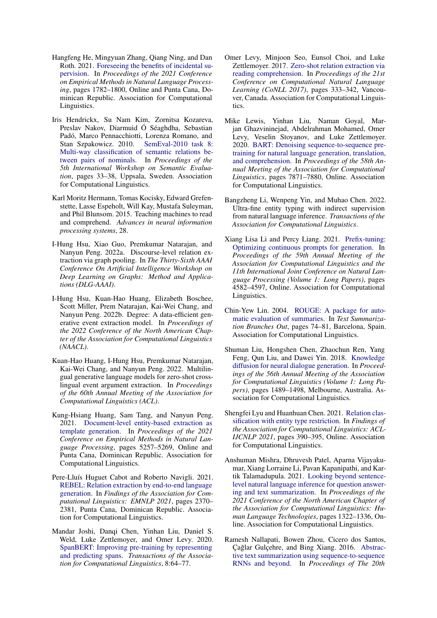- <span id="page-9-5"></span>Hangfeng He, Mingyuan Zhang, Qiang Ning, and Dan Roth. 2021. [Foreseeing the benefits of incidental su](https://doi.org/10.18653/v1/2021.emnlp-main.134)[pervision.](https://doi.org/10.18653/v1/2021.emnlp-main.134) In *Proceedings of the 2021 Conference on Empirical Methods in Natural Language Processing*, pages 1782–1800, Online and Punta Cana, Dominican Republic. Association for Computational Linguistics.
- <span id="page-9-14"></span>Iris Hendrickx, Su Nam Kim, Zornitsa Kozareva, Preslav Nakov, Diarmuid Ó Séaghdha, Sebastian Padó, Marco Pennacchiotti, Lorenza Romano, and Stan Szpakowicz. 2010. [SemEval-2010 task 8:](https://aclanthology.org/S10-1006) [Multi-way classification of semantic relations be](https://aclanthology.org/S10-1006)[tween pairs of nominals.](https://aclanthology.org/S10-1006) In *Proceedings of the 5th International Workshop on Semantic Evaluation*, pages 33–38, Uppsala, Sweden. Association for Computational Linguistics.
- <span id="page-9-12"></span>Karl Moritz Hermann, Tomas Kocisky, Edward Grefenstette, Lasse Espeholt, Will Kay, Mustafa Suleyman, and Phil Blunsom. 2015. Teaching machines to read and comprehend. *Advances in neural information processing systems*, 28.
- <span id="page-9-3"></span>I-Hung Hsu, Xiao Guo, Premkumar Natarajan, and Nanyun Peng. 2022a. Discourse-level relation extraction via graph pooling. In *The Thirty-Sixth AAAI Conference On Artificial Intelligence Workshop on Deep Learning on Graphs: Method and Applications (DLG-AAAI)*.
- <span id="page-9-9"></span>I-Hung Hsu, Kuan-Hao Huang, Elizabeth Boschee, Scott Miller, Prem Natarajan, Kai-Wei Chang, and Nanyun Peng. 2022b. Degree: A data-efficient generative event extraction model. In *Proceedings of the 2022 Conference of the North American Chapter of the Association for Computational Linguistics (NAACL)*.
- <span id="page-9-10"></span>Kuan-Hao Huang, I-Hung Hsu, Premkumar Natarajan, Kai-Wei Chang, and Nanyun Peng. 2022. Multilingual generative language models for zero-shot crosslingual event argument extraction. In *Proceedings of the 60th Annual Meeting of the Association for Computational Linguistics (ACL)*.
- <span id="page-9-8"></span>Kung-Hsiang Huang, Sam Tang, and Nanyun Peng. 2021. [Document-level entity-based extraction as](https://doi.org/10.18653/v1/2021.emnlp-main.426) [template generation.](https://doi.org/10.18653/v1/2021.emnlp-main.426) In *Proceedings of the 2021 Conference on Empirical Methods in Natural Language Processing*, pages 5257–5269, Online and Punta Cana, Dominican Republic. Association for Computational Linguistics.
- <span id="page-9-11"></span>Pere-Lluís Huguet Cabot and Roberto Navigli. 2021. [REBEL: Relation extraction by end-to-end language](https://doi.org/10.18653/v1/2021.findings-emnlp.204) [generation.](https://doi.org/10.18653/v1/2021.findings-emnlp.204) In *Findings of the Association for Computational Linguistics: EMNLP 2021*, pages 2370– 2381, Punta Cana, Dominican Republic. Association for Computational Linguistics.
- <span id="page-9-15"></span>Mandar Joshi, Danqi Chen, Yinhan Liu, Daniel S. Weld, Luke Zettlemoyer, and Omer Levy. 2020. [SpanBERT: Improving pre-training by representing](https://doi.org/10.1162/tacl_a_00300) [and predicting spans.](https://doi.org/10.1162/tacl_a_00300) *Transactions of the Association for Computational Linguistics*, 8:64–77.
- <span id="page-9-6"></span>Omer Levy, Minjoon Seo, Eunsol Choi, and Luke Zettlemoyer. 2017. [Zero-shot relation extraction via](https://doi.org/10.18653/v1/K17-1034) [reading comprehension.](https://doi.org/10.18653/v1/K17-1034) In *Proceedings of the 21st Conference on Computational Natural Language Learning (CoNLL 2017)*, pages 333–342, Vancouver, Canada. Association for Computational Linguistics.
- <span id="page-9-13"></span>Mike Lewis, Yinhan Liu, Naman Goyal, Marjan Ghazvininejad, Abdelrahman Mohamed, Omer Levy, Veselin Stoyanov, and Luke Zettlemoyer. 2020. [BART: Denoising sequence-to-sequence pre](https://doi.org/10.18653/v1/2020.acl-main.703)[training for natural language generation, translation,](https://doi.org/10.18653/v1/2020.acl-main.703) [and comprehension.](https://doi.org/10.18653/v1/2020.acl-main.703) In *Proceedings of the 58th Annual Meeting of the Association for Computational Linguistics*, pages 7871–7880, Online. Association for Computational Linguistics.
- <span id="page-9-7"></span>Bangzheng Li, Wenpeng Yin, and Muhao Chen. 2022. Ultra-fine entity typing with indirect supervision from natural language inference. *Transactions of the Association for Computational Linguistics*.
- <span id="page-9-17"></span>Xiang Lisa Li and Percy Liang. 2021. [Prefix-tuning:](https://doi.org/10.18653/v1/2021.acl-long.353) [Optimizing continuous prompts for generation.](https://doi.org/10.18653/v1/2021.acl-long.353) In *Proceedings of the 59th Annual Meeting of the Association for Computational Linguistics and the 11th International Joint Conference on Natural Language Processing (Volume 1: Long Papers)*, pages 4582–4597, Online. Association for Computational Linguistics.
- <span id="page-9-16"></span>Chin-Yew Lin. 2004. [ROUGE: A package for auto](https://aclanthology.org/W04-1013)[matic evaluation of summaries.](https://aclanthology.org/W04-1013) In *Text Summarization Branches Out*, pages 74–81, Barcelona, Spain. Association for Computational Linguistics.
- <span id="page-9-0"></span>Shuman Liu, Hongshen Chen, Zhaochun Ren, Yang Feng, Qun Liu, and Dawei Yin. 2018. [Knowledge](https://doi.org/10.18653/v1/P18-1138) [diffusion for neural dialogue generation.](https://doi.org/10.18653/v1/P18-1138) In *Proceedings of the 56th Annual Meeting of the Association for Computational Linguistics (Volume 1: Long Papers)*, pages 1489–1498, Melbourne, Australia. Association for Computational Linguistics.
- <span id="page-9-4"></span>Shengfei Lyu and Huanhuan Chen. 2021. [Relation clas](https://doi.org/10.18653/v1/2021.findings-acl.34)[sification with entity type restriction.](https://doi.org/10.18653/v1/2021.findings-acl.34) In *Findings of the Association for Computational Linguistics: ACL-IJCNLP 2021*, pages 390–395, Online. Association for Computational Linguistics.
- <span id="page-9-2"></span>Anshuman Mishra, Dhruvesh Patel, Aparna Vijayakumar, Xiang Lorraine Li, Pavan Kapanipathi, and Kartik Talamadupula. 2021. [Looking beyond sentence](https://doi.org/10.18653/v1/2021.naacl-main.104)[level natural language inference for question answer](https://doi.org/10.18653/v1/2021.naacl-main.104)[ing and text summarization.](https://doi.org/10.18653/v1/2021.naacl-main.104) In *Proceedings of the 2021 Conference of the North American Chapter of the Association for Computational Linguistics: Human Language Technologies*, pages 1322–1336, Online. Association for Computational Linguistics.
- <span id="page-9-1"></span>Ramesh Nallapati, Bowen Zhou, Cicero dos Santos, Çağlar Gulçehre, and Bing Xiang. 2016. [Abstrac](https://doi.org/10.18653/v1/K16-1028)[tive text summarization using sequence-to-sequence](https://doi.org/10.18653/v1/K16-1028) [RNNs and beyond.](https://doi.org/10.18653/v1/K16-1028) In *Proceedings of The 20th*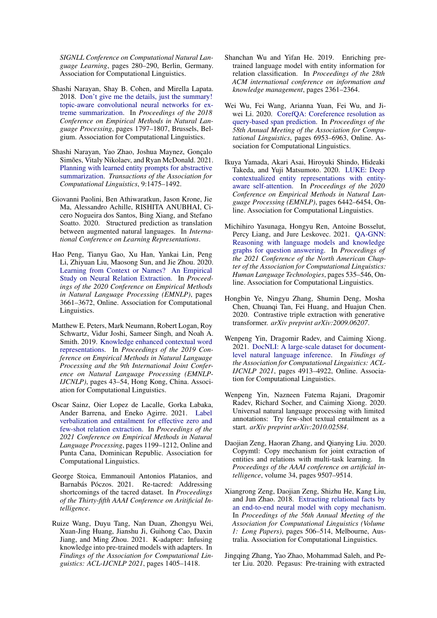*SIGNLL Conference on Computational Natural Language Learning*, pages 280–290, Berlin, Germany. Association for Computational Linguistics.

- <span id="page-10-4"></span>Shashi Narayan, Shay B. Cohen, and Mirella Lapata. 2018. [Don't give me the details, just the summary!](https://doi.org/10.18653/v1/D18-1206) [topic-aware convolutional neural networks for ex](https://doi.org/10.18653/v1/D18-1206)[treme summarization.](https://doi.org/10.18653/v1/D18-1206) In *Proceedings of the 2018 Conference on Empirical Methods in Natural Language Processing*, pages 1797–1807, Brussels, Belgium. Association for Computational Linguistics.
- <span id="page-10-17"></span>Shashi Narayan, Yao Zhao, Joshua Maynez, Gonçalo Simões, Vitaly Nikolaev, and Ryan McDonald. 2021. [Planning with learned entity prompts for abstractive](https://doi.org/10.1162/tacl_a_00438) [summarization.](https://doi.org/10.1162/tacl_a_00438) *Transactions of the Association for Computational Linguistics*, 9:1475–1492.
- <span id="page-10-14"></span>Giovanni Paolini, Ben Athiwaratkun, Jason Krone, Jie Ma, Alessandro Achille, RISHITA ANUBHAI, Cicero Nogueira dos Santos, Bing Xiang, and Stefano Soatto. 2020. Structured prediction as translation between augmented natural languages. In *International Conference on Learning Representations*.
- <span id="page-10-7"></span>Hao Peng, Tianyu Gao, Xu Han, Yankai Lin, Peng Li, Zhiyuan Liu, Maosong Sun, and Jie Zhou. 2020. [Learning from Context or Names? An Empirical](https://doi.org/10.18653/v1/2020.emnlp-main.298) [Study on Neural Relation Extraction.](https://doi.org/10.18653/v1/2020.emnlp-main.298) In *Proceedings of the 2020 Conference on Empirical Methods in Natural Language Processing (EMNLP)*, pages 3661–3672, Online. Association for Computational Linguistics.
- <span id="page-10-8"></span>Matthew E. Peters, Mark Neumann, Robert Logan, Roy Schwartz, Vidur Joshi, Sameer Singh, and Noah A. Smith. 2019. [Knowledge enhanced contextual word](https://doi.org/10.18653/v1/D19-1005) [representations.](https://doi.org/10.18653/v1/D19-1005) In *Proceedings of the 2019 Conference on Empirical Methods in Natural Language Processing and the 9th International Joint Conference on Natural Language Processing (EMNLP-IJCNLP)*, pages 43–54, Hong Kong, China. Association for Computational Linguistics.
- <span id="page-10-3"></span>Oscar Sainz, Oier Lopez de Lacalle, Gorka Labaka, Ander Barrena, and Eneko Agirre. 2021. [Label](https://doi.org/10.18653/v1/2021.emnlp-main.92) [verbalization and entailment for effective zero and](https://doi.org/10.18653/v1/2021.emnlp-main.92) [few-shot relation extraction.](https://doi.org/10.18653/v1/2021.emnlp-main.92) In *Proceedings of the 2021 Conference on Empirical Methods in Natural Language Processing*, pages 1199–1212, Online and Punta Cana, Dominican Republic. Association for Computational Linguistics.
- <span id="page-10-2"></span>George Stoica, Emmanouil Antonios Platanios, and Barnabás Póczos. 2021. Re-tacred: Addressing shortcomings of the tacred dataset. In *Proceedings of the Thirty-fifth AAAI Conference on Aritificial Intelligence*.
- <span id="page-10-15"></span>Ruize Wang, Duyu Tang, Nan Duan, Zhongyu Wei, Xuan-Jing Huang, Jianshu Ji, Guihong Cao, Daxin Jiang, and Ming Zhou. 2021. K-adapter: Infusing knowledge into pre-trained models with adapters. In *Findings of the Association for Computational Linguistics: ACL-IJCNLP 2021*, pages 1405–1418.
- <span id="page-10-6"></span>Shanchan Wu and Yifan He. 2019. Enriching pretrained language model with entity information for relation classification. In *Proceedings of the 28th ACM international conference on information and knowledge management*, pages 2361–2364.
- <span id="page-10-9"></span>Wei Wu, Fei Wang, Arianna Yuan, Fei Wu, and Jiwei Li. 2020. [CorefQA: Coreference resolution as](https://doi.org/10.18653/v1/2020.acl-main.622) [query-based span prediction.](https://doi.org/10.18653/v1/2020.acl-main.622) In *Proceedings of the 58th Annual Meeting of the Association for Computational Linguistics*, pages 6953–6963, Online. Association for Computational Linguistics.
- <span id="page-10-1"></span>Ikuya Yamada, Akari Asai, Hiroyuki Shindo, Hideaki Takeda, and Yuji Matsumoto. 2020. [LUKE: Deep](https://doi.org/10.18653/v1/2020.emnlp-main.523) [contextualized entity representations with entity](https://doi.org/10.18653/v1/2020.emnlp-main.523)[aware self-attention.](https://doi.org/10.18653/v1/2020.emnlp-main.523) In *Proceedings of the 2020 Conference on Empirical Methods in Natural Language Processing (EMNLP)*, pages 6442–6454, Online. Association for Computational Linguistics.
- <span id="page-10-0"></span>Michihiro Yasunaga, Hongyu Ren, Antoine Bosselut, Percy Liang, and Jure Leskovec. 2021. [QA-GNN:](https://doi.org/10.18653/v1/2021.naacl-main.45) [Reasoning with language models and knowledge](https://doi.org/10.18653/v1/2021.naacl-main.45) [graphs for question answering.](https://doi.org/10.18653/v1/2021.naacl-main.45) In *Proceedings of the 2021 Conference of the North American Chapter of the Association for Computational Linguistics: Human Language Technologies*, pages 535–546, Online. Association for Computational Linguistics.
- <span id="page-10-13"></span>Hongbin Ye, Ningyu Zhang, Shumin Deng, Mosha Chen, Chuanqi Tan, Fei Huang, and Huajun Chen. 2020. Contrastive triple extraction with generative transformer. *arXiv preprint arXiv:2009.06207*.
- <span id="page-10-5"></span>Wenpeng Yin, Dragomir Radev, and Caiming Xiong. 2021. [DocNLI: A large-scale dataset for document](https://doi.org/10.18653/v1/2021.findings-acl.435)[level natural language inference.](https://doi.org/10.18653/v1/2021.findings-acl.435) In *Findings of the Association for Computational Linguistics: ACL-IJCNLP 2021*, pages 4913–4922, Online. Association for Computational Linguistics.
- <span id="page-10-10"></span>Wenpeng Yin, Nazneen Fatema Rajani, Dragomir Radev, Richard Socher, and Caiming Xiong. 2020. Universal natural language processing with limited annotations: Try few-shot textual entailment as a start. *arXiv preprint arXiv:2010.02584*.
- <span id="page-10-12"></span>Daojian Zeng, Haoran Zhang, and Qianying Liu. 2020. Copymtl: Copy mechanism for joint extraction of entities and relations with multi-task learning. In *Proceedings of the AAAI conference on artificial intelligence*, volume 34, pages 9507–9514.
- <span id="page-10-11"></span>Xiangrong Zeng, Daojian Zeng, Shizhu He, Kang Liu, and Jun Zhao. 2018. [Extracting relational facts by](https://doi.org/10.18653/v1/P18-1047) [an end-to-end neural model with copy mechanism.](https://doi.org/10.18653/v1/P18-1047) In *Proceedings of the 56th Annual Meeting of the Association for Computational Linguistics (Volume 1: Long Papers)*, pages 506–514, Melbourne, Australia. Association for Computational Linguistics.
- <span id="page-10-16"></span>Jingqing Zhang, Yao Zhao, Mohammad Saleh, and Peter Liu. 2020. Pegasus: Pre-training with extracted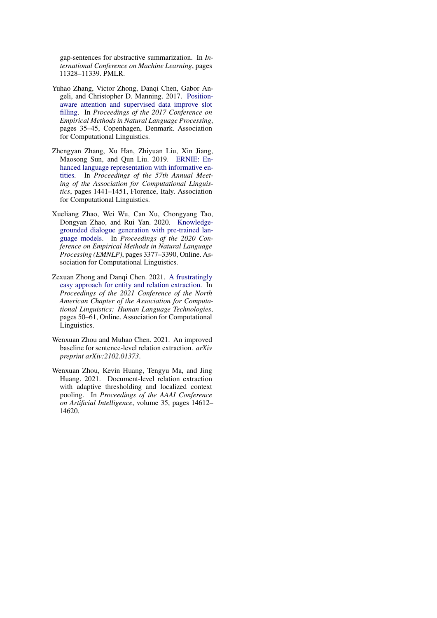gap-sentences for abstractive summarization. In *International Conference on Machine Learning*, pages 11328–11339. PMLR.

- <span id="page-11-2"></span>Yuhao Zhang, Victor Zhong, Danqi Chen, Gabor Angeli, and Christopher D. Manning. 2017. [Position](https://doi.org/10.18653/v1/D17-1004)[aware attention and supervised data improve slot](https://doi.org/10.18653/v1/D17-1004) [filling.](https://doi.org/10.18653/v1/D17-1004) In *Proceedings of the 2017 Conference on Empirical Methods in Natural Language Processing*, pages 35–45, Copenhagen, Denmark. Association for Computational Linguistics.
- <span id="page-11-3"></span>Zhengyan Zhang, Xu Han, Zhiyuan Liu, Xin Jiang, Maosong Sun, and Qun Liu. 2019. [ERNIE: En](https://doi.org/10.18653/v1/P19-1139)[hanced language representation with informative en](https://doi.org/10.18653/v1/P19-1139)[tities.](https://doi.org/10.18653/v1/P19-1139) In *Proceedings of the 57th Annual Meeting of the Association for Computational Linguistics*, pages 1441–1451, Florence, Italy. Association for Computational Linguistics.
- <span id="page-11-0"></span>Xueliang Zhao, Wei Wu, Can Xu, Chongyang Tao, Dongyan Zhao, and Rui Yan. 2020. [Knowledge](https://doi.org/10.18653/v1/2020.emnlp-main.272)[grounded dialogue generation with pre-trained lan](https://doi.org/10.18653/v1/2020.emnlp-main.272)[guage models.](https://doi.org/10.18653/v1/2020.emnlp-main.272) In *Proceedings of the 2020 Conference on Empirical Methods in Natural Language Processing (EMNLP)*, pages 3377–3390, Online. Association for Computational Linguistics.
- <span id="page-11-5"></span>Zexuan Zhong and Danqi Chen. 2021. [A frustratingly](https://doi.org/10.18653/v1/2021.naacl-main.5) [easy approach for entity and relation extraction.](https://doi.org/10.18653/v1/2021.naacl-main.5) In *Proceedings of the 2021 Conference of the North American Chapter of the Association for Computational Linguistics: Human Language Technologies*, pages 50–61, Online. Association for Computational Linguistics.
- <span id="page-11-1"></span>Wenxuan Zhou and Muhao Chen. 2021. An improved baseline for sentence-level relation extraction. *arXiv preprint arXiv:2102.01373*.
- <span id="page-11-4"></span>Wenxuan Zhou, Kevin Huang, Tengyu Ma, and Jing Huang. 2021. Document-level relation extraction with adaptive thresholding and localized context pooling. In *Proceedings of the AAAI Conference on Artificial Intelligence*, volume 35, pages 14612– 14620.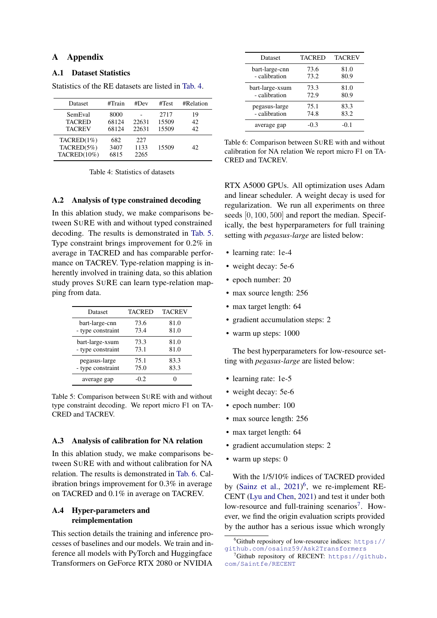# A Appendix

#### A.1 Dataset Statistics

Statistics of the RE datasets are listed in [Tab. 4.](#page-12-1)

<span id="page-12-1"></span>

| <b>Dataset</b>                            | #Train                 | #Dev                | #Test                  | #Relation      |
|-------------------------------------------|------------------------|---------------------|------------------------|----------------|
| SemEval<br><b>TACRED</b><br><b>TACREV</b> | 8000<br>68124<br>68124 | 22631<br>22631      | 2717<br>15509<br>15509 | 19<br>42<br>42 |
| TACRED(1%)<br>TACRED(5%)<br>TACRED(10%)   | 682<br>3407<br>6815    | 227<br>1133<br>2265 | 15509                  | 42             |

Table 4: Statistics of datasets

### <span id="page-12-0"></span>A.2 Analysis of type constrained decoding

In this ablation study, we make comparisons between SURE with and without typed constrained decoding. The results is demonstrated in [Tab. 5.](#page-12-4) Type constraint brings improvement for 0.2% in average in TACRED and has comparable performance on TACREV. Type-relation mapping is inherently involved in training data, so this ablation study proves SURE can learn type-relation mapping from data.

<span id="page-12-4"></span>

| Dataset           | <b>TACRED</b> | <b>TACREV</b> |
|-------------------|---------------|---------------|
| bart-large-cnn    | 73.6          | 81.0          |
| - type constraint | 73.4          | 81.0          |
| bart-large-xsum   | 73.3          | 81.0          |
| - type constraint | 73.1          | 81.0          |
| pegasus-large     | 75.1          | 83.3          |
| - type constraint | 75.0          | 83.3          |
| average gap       | -0.2          |               |

Table 5: Comparison between SURE with and without type constraint decoding. We report micro F1 on TA-CRED and TACREV.

### <span id="page-12-3"></span>A.3 Analysis of calibration for NA relation

In this ablation study, we make comparisons between SURE with and without calibration for NA relation. The results is demonstrated in [Tab. 6.](#page-12-5) Calibration brings improvement for 0.3% in average on TACRED and 0.1% in average on TACREV.

## <span id="page-12-2"></span>A.4 Hyper-parameters and reimplementation

This section details the training and inference processes of baselines and our models. We train and inference all models with PyTorch and Huggingface Transformers on GeForce RTX 2080 or NVIDIA

<span id="page-12-5"></span>

| Dataset         | <b>TACRED</b> | <b>TACREV</b> |
|-----------------|---------------|---------------|
| bart-large-cnn  | 73.6          | 81.0          |
| - calibration   | 73.2          | 80.9          |
| bart-large-xsum | 73.3          | 81.0          |
| - calibration   | 72.9          | 80.9          |
| pegasus-large   | 75.1          | 83.3          |
| - calibration   | 74.8          | 83.2          |
| average gap     | $-0.3$        | $-0.1$        |

Table 6: Comparison between SURE with and without calibration for NA relation We report micro F1 on TA-CRED and TACREV.

RTX A5000 GPUs. All optimization uses Adam and linear scheduler. A weight decay is used for regularization. We run all experiments on three seeds [0, 100, 500] and report the median. Specifically, the best hyperparameters for full training setting with *pegasus-large* are listed below:

- learning rate: 1e-4
- weight decay: 5e-6
- epoch number: 20
- max source length: 256
- max target length: 64
- gradient accumulation steps: 2
- warm up steps: 1000

The best hyperparameters for low-resource setting with *pegasus-large* are listed below:

- learning rate: 1e-5
- weight decay: 5e-6
- epoch number: 100
- max source length: 256
- max target length: 64
- gradient accumulation steps: 2
- warm up steps: 0

With the 1/5/10% indices of TACRED provided by [\(Sainz et al.,](#page-10-3) [2021\)](#page-10-3)<sup>[6](#page-12-6)</sup>, we re-implement RE-CENT [\(Lyu and Chen,](#page-9-4) [2021\)](#page-9-4) and test it under both low-resource and full-training scenarios<sup>[7](#page-12-7)</sup>. However, we find the origin evaluation scripts provided by the author has a serious issue which wrongly

<span id="page-12-6"></span> $6$ Github repository of low-resource indices: [https://](https://github.com/osainz59/Ask2Transformers) [github.com/osainz59/Ask2Transformers](https://github.com/osainz59/Ask2Transformers)

<span id="page-12-7"></span><sup>&</sup>lt;sup>7</sup>Github repository of RECENT: [https://github.](https://github.com/Saintfe/RECENT) [com/Saintfe/RECENT](https://github.com/Saintfe/RECENT)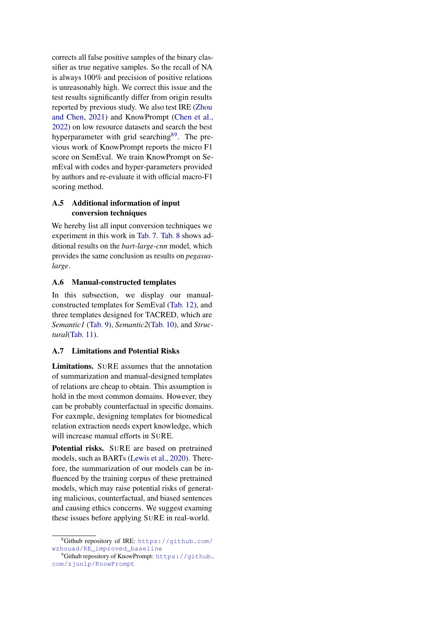corrects all false positive samples of the binary classifier as true negative samples. So the recall of NA is always 100% and precision of positive relations is unreasonably high. We correct this issue and the test results significantly differ from origin results reported by previous study. We also test IRE [\(Zhou](#page-11-1) [and Chen,](#page-11-1) [2021\)](#page-11-1) and KnowPrompt [\(Chen et al.,](#page-8-7) [2022\)](#page-8-7) on low resource datasets and search the best hyperparameter with grid searching<sup>[8](#page-13-1)[9](#page-13-2)</sup>. The previous work of KnowPrompt reports the micro F1 score on SemEval. We train KnowPrompt on SemEval with codes and hyper-parameters provided by authors and re-evaluate it with official macro-F1 scoring method.

# <span id="page-13-0"></span>A.5 Additional information of input conversion techniques

We hereby list all input conversion techniques we experiment in this work in [Tab. 7.](#page-14-0) [Tab. 8](#page-14-1) shows additional results on the *bart-large-cnn* model, which provides the same conclusion as results on *pegasuslarge*.

# A.6 Manual-constructed templates

In this subsection, we display our manualconstructed templates for SemEval [\(Tab. 12\)](#page-18-0), and three templates designed for TACRED, which are *Semantic1* [\(Tab. 9\)](#page-15-0), *Semantic2*[\(Tab. 10\)](#page-16-0), and *Structural*[\(Tab. 11\)](#page-17-0).

# A.7 Limitations and Potential Risks

Limitations. SURE assumes that the annotation of summarization and manual-designed templates of relations are cheap to obtain. This assumption is hold in the most common domains. However, they can be probably counterfactual in specific domains. For eaxmple, designing templates for biomedical relation extraction needs expert knowledge, which will increase manual efforts in SURE.

Potential risks. SURE are based on pretrained models, such as BARTs [\(Lewis et al.,](#page-9-13) [2020\)](#page-9-13). Therefore, the summarization of our models can be influenced by the training corpus of these pretrained models, which may raise potential risks of generating malicious, counterfactual, and biased sentences and causing ethics concerns. We suggest examing these issues before applying SURE in real-world.

<span id="page-13-1"></span><sup>8</sup>Github repository of IRE: [https://github.com/](https://github.com/wzhouad/RE_improved_baseline) [wzhouad/RE\\_improved\\_baseline](https://github.com/wzhouad/RE_improved_baseline)

<span id="page-13-2"></span> $^{9}$ Github repository of KnowPrompt: [https://github.](https://github.com/zjunlp/KnowPrompt) [com/zjunlp/KnowPrompt](https://github.com/zjunlp/KnowPrompt)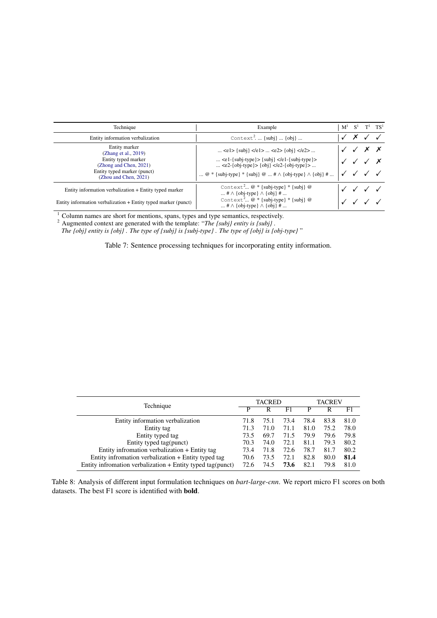<span id="page-14-0"></span>

| Technique                                                                                                                                      | Example                                                                                                                                                                                                    | M <sup>1</sup> | $S^1$ | $T^1$ TS <sup>1</sup> |
|------------------------------------------------------------------------------------------------------------------------------------------------|------------------------------------------------------------------------------------------------------------------------------------------------------------------------------------------------------------|----------------|-------|-----------------------|
| Entity information verbalization                                                                                                               | Context <sup>2</sup> . $\{subj\}$ $\{obj\}$                                                                                                                                                                |                |       |                       |
| Entity marker<br>(Zhang et al., 2019)<br>Entity typed marker<br>(Zhong and Chen, 2021)<br>Entity typed marker (punct)<br>(Zhou and Chen, 2021) | <e1> {subj} </e1> <e2> {obj} </e2><br>$\lt c1$ -{subj-type}> {subj} $\lt c1$ -{subj-type}><br><e2-{obj-type}> {obj} </e2-{obj-type}><br>@ * {subj-type} * {subj} @  # $\wedge$ {obj-type} $\wedge$ {obj} # |                |       |                       |
| Entity information verbalization + Entity typed marker                                                                                         | Context <sup>2</sup> $@*$ {subj-type} $*$ {subj} $@$<br>$\ldots$ # $\wedge$ {obj-type} $\wedge$ {obj} #                                                                                                    |                |       |                       |
| Entity information verbalization + Entity typed marker (punct)                                                                                 | Context <sup>2</sup> $@*$ {subj-type} $*$ {subj} $@$                                                                                                                                                       |                |       |                       |

 $1$  Column names are short for mentions, spans, types and type semantics, respectively.

<sup>2</sup> Augmented context are generated with the template: "*The {subj} entity is {subj} .*

*The {obj} entity is {obj} . The type of {subj} is {subj-type} . The type of {obj} is {obj-type}* "

Table 7: Sentence processing techniques for incorporating entity information.

<span id="page-14-1"></span>

| Technique                                                    |      | <b>TACRED</b> |      |      | <b>TACREV</b> |      |  |
|--------------------------------------------------------------|------|---------------|------|------|---------------|------|--|
|                                                              |      |               | F1   |      |               | F1   |  |
| Entity information verbalization                             | 71.8 | 75.1          | 73.4 | 78.4 | 83.8          | 81.0 |  |
| Entity tag                                                   | 71.3 | 71.0          | 71.1 | 81.0 | 75.2          | 78.0 |  |
| Entity typed tag                                             | 73.5 | 69.7          | 71.5 | 79.9 | 79.6          | 79.8 |  |
| Entity typed tag(punct)                                      | 70.3 | 74.0          | 72.1 | 81.1 | 79.3          | 80.2 |  |
| Entity infromation verbalization + Entity tag                | 73.4 | 71.8          | 72.6 | 78.7 | 81.7          | 80.2 |  |
| Entity infromation verbalization + Entity typed tag          | 70.6 | 73.5          | 72.1 | 82.8 | 80.0          | 81.4 |  |
| Entity infromation verbalization $+$ Entity typed tag(punct) | 72.6 | 74.5          | 73.6 | 82.1 | 79.8          | 81.0 |  |

Table 8: Analysis of different input formulation techniques on *bart-large-cnn*. We report micro F1 scores on both datasets. The best F1 score is identified with bold.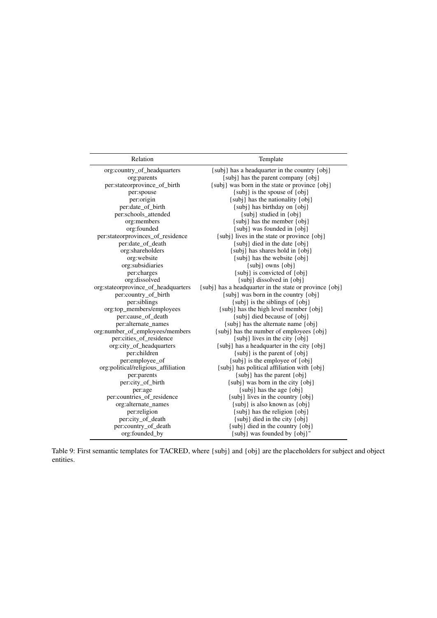<span id="page-15-0"></span>

| org:country_of_headquarters<br>{subj} has a headquarter in the country {obj}                   |  |
|------------------------------------------------------------------------------------------------|--|
| {subj} has the parent company {obj}<br>org:parents                                             |  |
| per:stateorprovince_of_birth<br>{subj} was born in the state or province {obj}                 |  |
| {subj} is the spouse of {obj}<br>per:spouse                                                    |  |
| {subj} has the nationality {obj}<br>per:origin                                                 |  |
| per:date_of_birth<br>{subj} has birthday on {obj}                                              |  |
| per:schools_attended<br>{subj} studied in {obj}                                                |  |
| org:members<br>$\{subj\}$ has the member $\{obj\}$                                             |  |
| org:founded<br>$\{subj\}$ was founded in $\{obj\}$                                             |  |
| per:stateorprovinces_of_residence<br>{subj} lives in the state or province {obj}               |  |
| per:date_of_death<br>$\{subj\}$ died in the date $\{obj\}$                                     |  |
| org:shareholders<br>{subj} has shares hold in {obj}                                            |  |
| {subj} has the website {obj}<br>org:website                                                    |  |
| org:subsidiaries<br>$\{subj\}$ owns $\{obj\}$                                                  |  |
| {subj} is convicted of {obj}<br>per:charges                                                    |  |
| org:dissolved<br>{subj} dissolved in {obj}                                                     |  |
| org:stateorprovince_of_headquarters<br>{subj} has a headquarter in the state or province {obj} |  |
| per:country_of_birth<br>{subj} was born in the country {obj}                                   |  |
| per:siblings<br>{subj} is the siblings of {obj}                                                |  |
| org:top_members/employees<br>{subj} has the high level member {obj}                            |  |
| per:cause_of_death<br>{subj} died because of {obj}                                             |  |
| per:alternate_names<br>$\{\text{subj}\}\$ has the alternate name $\{\text{obj}\}\$             |  |
| org:number_of_employees/members<br>{subj} has the number of employees {obj}                    |  |
| per:cities_of_residence<br>$\{subj\}$ lives in the city $\{obj\}$                              |  |
| org:city_of_headquarters<br>{subj} has a headquarter in the city {obj}                         |  |
| per:children<br>$\{subj\}$ is the parent of $\{obj\}$                                          |  |
| {subj} is the employee of {obj}<br>per:employee_of                                             |  |
| org:political/religious_affiliation<br>{subj} has political affiliation with {obj}             |  |
| {subj} has the parent {obj}<br>per:parents                                                     |  |
| per:city_of_birth<br>$\{subj\}$ was born in the city $\{obj\}$                                 |  |
| $\{subj\}$ has the age $\{obj\}$<br>per:age                                                    |  |
| per:countries_of_residence<br>{subj} lives in the country {obj}<br>org:alternate_names         |  |
| {subj} is also known as {obj}<br>per:religion<br>{subj} has the religion {obj}                 |  |
| per:city_of_death<br>{subj} died in the city {obj}                                             |  |
| per:country_of_death<br>{subj} died in the country {obj}                                       |  |
| {subj} was founded by {obj}"<br>org:founded_by                                                 |  |

Table 9: First semantic templates for TACRED, where {subj} and {obj} are the placeholders for subject and object entities.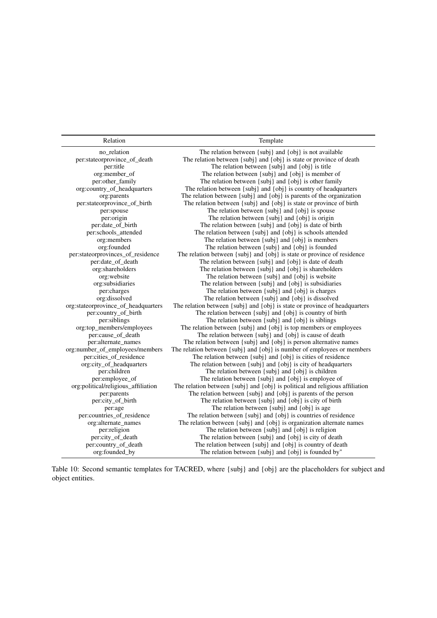Relation Template

<span id="page-16-0"></span>

| no_relation                         | The relation between $\{subj\}$ and $\{obj\}$ is not available               |
|-------------------------------------|------------------------------------------------------------------------------|
| per:stateorprovince_of_death        | The relation between {subj} and {obj} is state or province of death          |
| per:title                           | The relation between {subj} and {obj} is title                               |
| org:member_of                       | The relation between {subj} and {obj} is member of                           |
| per:other_family                    | The relation between {subj} and {obj} is other family                        |
| org:country_of_headquarters         | The relation between {subj} and {obj} is country of headquarters             |
| org:parents                         | The relation between {subj} and {obj} is parents of the organization         |
| per:stateorprovince_of_birth        | The relation between {subj} and {obj} is state or province of birth          |
| per:spouse                          | The relation between {subj} and {obj} is spouse                              |
| per:origin                          | The relation between {subj} and {obj} is origin                              |
| per:date_of_birth                   | The relation between {subj} and {obj} is date of birth                       |
| per:schools_attended                | The relation between {subj} and {obj} is schools attended                    |
| org:members                         | The relation between {subj} and {obj} is members                             |
| org:founded                         | The relation between {subj} and {obj} is founded                             |
| per:stateorprovinces_of_residence   | The relation between {subj} and {obj} is state or province of residence      |
| per:date_of_death                   | The relation between {subj} and {obj} is date of death                       |
| org:shareholders                    | The relation between {subj} and {obj} is shareholders                        |
| org:website                         | The relation between {subj} and {obj} is website                             |
| org:subsidiaries                    | The relation between {subj} and {obj} is subsidiaries                        |
| per:charges                         | The relation between {subj} and {obj} is charges                             |
| org:dissolved                       | The relation between {subj} and {obj} is dissolved                           |
| org:stateorprovince_of_headquarters | The relation between {subj} and {obj} is state or province of headquarters   |
| per:country_of_birth                | The relation between {subj} and {obj} is country of birth                    |
| per:siblings                        | The relation between {subj} and {obj} is siblings                            |
| org:top_members/employees           | The relation between {subj} and {obj} is top members or employees            |
| per:cause_of_death                  | The relation between $\{subj\}$ and $\{obj\}$ is cause of death              |
| per:alternate_names                 | The relation between {subj} and {obj} is person alternative names            |
| org:number_of_employees/members     | The relation between {subj} and {obj} is number of employees or members      |
| per:cities_of_residence             | The relation between {subj} and {obj} is cities of residence                 |
| org:city_of_headquarters            | The relation between {subj} and {obj} is city of headquarters                |
| per:children                        | The relation between {subj} and {obj} is children                            |
| per:employee_of                     | The relation between {subj} and {obj} is employee of                         |
| org:political/religious_affiliation | The relation between {subj} and {obj} is political and religious affiliation |
| per:parents                         | The relation between $\{subj\}$ and $\{obj\}$ is parents of the person       |
| per:city_of_birth                   | The relation between {subj} and {obj} is city of birth                       |
| per:age                             | The relation between $\{subj\}$ and $\{obj\}$ is age                         |
| per:countries_of_residence          | The relation between {subj} and {obj} is countries of residence              |
| org:alternate_names                 | The relation between {subj} and {obj} is organization alternate names        |
| per:religion                        | The relation between {subj} and {obj} is religion                            |
| per:city_of_death                   | The relation between {subj} and {obj} is city of death                       |
| per:country_of_death                | The relation between {subj} and {obj} is country of death                    |
| org:founded_by                      | The relation between {subj} and {obj} is founded by"                         |

Table 10: Second semantic templates for TACRED, where {subj} and {obj} are the placeholders for subject and object entities.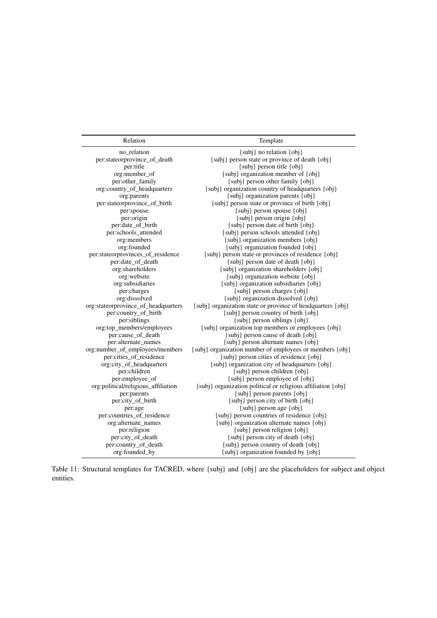<span id="page-17-0"></span>

| Relation                            | Template                                                     |
|-------------------------------------|--------------------------------------------------------------|
| no relation                         | {subj} no relation {obj}                                     |
| per:stateorprovince_of_death        | {subj} person state or province of death {obj}               |
| per:title                           | {subj} person title {obj}                                    |
| org:member_of                       | {subj} organization member of {obj}                          |
| per:other_family                    | {subj} person other family {obj}                             |
| org:country_of_headquarters         | {subj} organization country of headquarters {obj}            |
| org:parents                         | {subj} organization parents {obj}                            |
| per:stateorprovince_of_birth        | {subj} person state or province of birth {obj}               |
| per:spouse                          | {subj} person spouse {obj}                                   |
| per:origin                          | {subj} person origin {obj}                                   |
| per:date_of_birth                   | $\{subj\}$ person date of birth $\{obj\}$                    |
| per:schools_attended                | {subj} person schools attended {obj}                         |
| org:members                         | {subj} organization members {obj}                            |
| org:founded                         | {subj} organization founded {obj}                            |
| per:stateorprovinces_of_residence   | {subj} person state or provinces of residence {obj}          |
| per:date_of_death                   | {subj} person date of death {obj}                            |
| org:shareholders                    | {subj} organization shareholders {obj}                       |
| org:website                         | {subj} organization website {obj}                            |
| org:subsidiaries                    | {subj} organization subsidiaries {obj}                       |
| per:charges                         | {subj} person charges {obj}                                  |
| org:dissolved                       | {subj} organization dissolved {obj}                          |
| org:stateorprovince_of_headquarters | {subj} organization state or province of headquarters {obj}  |
| per:country_of_birth                | {subj} person country of birth {obj}                         |
| per:siblings                        | {subj} person siblings {obj}                                 |
| org:top_members/employees           | {subj} organization top members or employees {obj}           |
| per:cause_of_death                  | {subj} person cause of death {obj}                           |
| per:alternate_names                 | {subj} person alternate names {obj}                          |
| org:number_of_employees/members     | {subj} organization number of employees or members {obj}     |
| per:cities_of_residence             | {subj} person cities of residence {obj}                      |
| org:city_of_headquarters            | {subj} organization city of headquarters {obj}               |
| per:children                        | {subj} person children {obj}                                 |
| per:employee_of                     | {subj} person employee of {obj}                              |
| org:political/religious_affiliation | {subj} organization political or religious affiliation {obj} |
| per:parents                         | {subj} person parents {obj}                                  |
| per:city_of_birth                   | {subj} person city of birth {obj}                            |
| per:age                             | {subj} person age {obj}                                      |
| per:countries_of_residence          | {subj} person countries of residence {obj}                   |
| org:alternate_names                 | {subj} organization alternate names {obj}                    |
| per:religion                        | {subj} person religion {obj}                                 |
| per:city_of_death                   | {subj} person city of death {obj}                            |
| per:country_of_death                | {subj} person country of death {obj}                         |
| org:founded_by                      | {subj} organization founded by {obj}                         |

Table 11: Structural templates for TACRED, where {subj} and {obj} are the placeholders for subject and object entities.